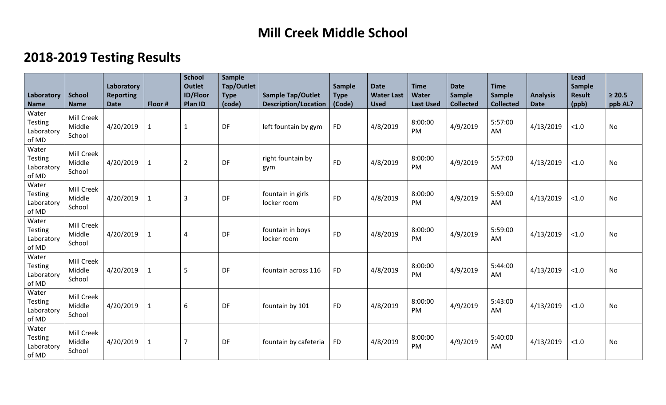## **Mill Creek Middle School**

## **2018-2019 Testing Results**

| Laboratory<br><b>Name</b>                      | <b>School</b><br><b>Name</b>   | Laboratory<br><b>Reporting</b><br><b>Date</b> | Floor #      | <b>School</b><br><b>Outlet</b><br><b>ID/Floor</b><br>Plan ID | <b>Sample</b><br>Tap/Outlet<br><b>Type</b><br>(code) | <b>Sample Tap/Outlet</b><br><b>Description/Location</b> | Sample<br><b>Type</b><br>(Code) | <b>Date</b><br><b>Water Last</b><br><b>Used</b> | <b>Time</b><br><b>Water</b><br><b>Last Used</b> | <b>Date</b><br><b>Sample</b><br><b>Collected</b> | <b>Time</b><br><b>Sample</b><br><b>Collected</b> | <b>Analysis</b><br><b>Date</b> | Lead<br>Sample<br><b>Result</b><br>(ppb) | $\geq 20.5$<br>ppb AL? |
|------------------------------------------------|--------------------------------|-----------------------------------------------|--------------|--------------------------------------------------------------|------------------------------------------------------|---------------------------------------------------------|---------------------------------|-------------------------------------------------|-------------------------------------------------|--------------------------------------------------|--------------------------------------------------|--------------------------------|------------------------------------------|------------------------|
| Water<br><b>Testing</b><br>Laboratory<br>of MD | Mill Creek<br>Middle<br>School | 4/20/2019                                     | $\mathbf 1$  | $\mathbf{1}$                                                 | DF                                                   | left fountain by gym                                    | <b>FD</b>                       | 4/8/2019                                        | 8:00:00<br>PM                                   | 4/9/2019                                         | 5:57:00<br>AM                                    | 4/13/2019                      | $<1.0$                                   | No                     |
| Water<br><b>Testing</b><br>Laboratory<br>of MD | Mill Creek<br>Middle<br>School | 4/20/2019                                     | $\mathbf{1}$ | $\overline{2}$                                               | DF                                                   | right fountain by<br>gym                                | <b>FD</b>                       | 4/8/2019                                        | 8:00:00<br><b>PM</b>                            | 4/9/2019                                         | 5:57:00<br>AM                                    | 4/13/2019                      | < 1.0                                    | No                     |
| Water<br>Testing<br>Laboratory<br>of MD        | Mill Creek<br>Middle<br>School | 4/20/2019                                     | $\mathbf 1$  | $\overline{3}$                                               | DF                                                   | fountain in girls<br>locker room                        | <b>FD</b>                       | 4/8/2019                                        | 8:00:00<br>PM                                   | 4/9/2019                                         | 5:59:00<br>AM                                    | 4/13/2019                      | < 1.0                                    | <b>No</b>              |
| Water<br><b>Testing</b><br>Laboratory<br>of MD | Mill Creek<br>Middle<br>School | 4/20/2019                                     | $\mathbf 1$  | $\overline{4}$                                               | DF                                                   | fountain in boys<br>locker room                         | <b>FD</b>                       | 4/8/2019                                        | 8:00:00<br>PM                                   | 4/9/2019                                         | 5:59:00<br>AM                                    | 4/13/2019                      | < 1.0                                    | No                     |
| Water<br><b>Testing</b><br>Laboratory<br>of MD | Mill Creek<br>Middle<br>School | 4/20/2019                                     | $\mathbf{1}$ | 5                                                            | DF                                                   | fountain across 116                                     | <b>FD</b>                       | 4/8/2019                                        | 8:00:00<br>PM                                   | 4/9/2019                                         | 5:44:00<br>AM                                    | 4/13/2019                      | < 1.0                                    | <b>No</b>              |
| Water<br>Testing<br>Laboratory<br>of MD        | Mill Creek<br>Middle<br>School | 4/20/2019                                     | $\mathbf 1$  | 6                                                            | DF                                                   | fountain by 101                                         | <b>FD</b>                       | 4/8/2019                                        | 8:00:00<br>PM                                   | 4/9/2019                                         | 5:43:00<br><b>AM</b>                             | 4/13/2019                      | < 1.0                                    | No                     |
| Water<br><b>Testing</b><br>Laboratory<br>of MD | Mill Creek<br>Middle<br>School | 4/20/2019                                     | $\mathbf 1$  | $\overline{7}$                                               | DF                                                   | fountain by cafeteria                                   | <b>FD</b>                       | 4/8/2019                                        | 8:00:00<br>PM                                   | 4/9/2019                                         | 5:40:00<br>AM                                    | 4/13/2019                      | < 1.0                                    | No                     |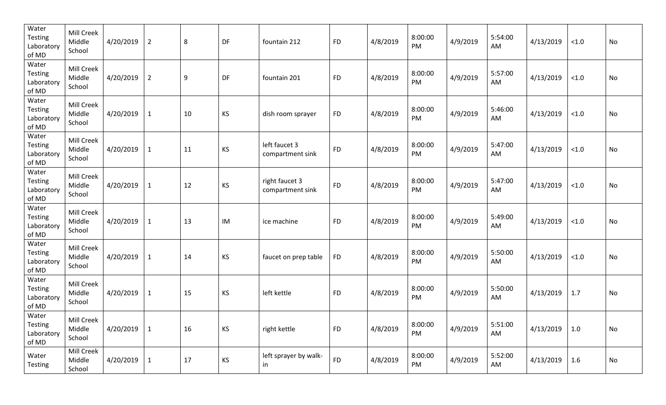| Water<br>Testing<br>Laboratory<br>of MD        | Mill Creek<br>Middle<br>School | 4/20/2019 | $\overline{2}$ | 8  | DF        | fountain 212                       | <b>FD</b> | 4/8/2019 | 8:00:00<br>PM | 4/9/2019 | 5:54:00<br>AM | 4/13/2019 | $<1.0$            | No |
|------------------------------------------------|--------------------------------|-----------|----------------|----|-----------|------------------------------------|-----------|----------|---------------|----------|---------------|-----------|-------------------|----|
| Water<br><b>Testing</b><br>Laboratory<br>of MD | Mill Creek<br>Middle<br>School | 4/20/2019 | $\overline{2}$ | 9  | DF        | fountain 201                       | <b>FD</b> | 4/8/2019 | 8:00:00<br>PM | 4/9/2019 | 5:57:00<br>AM | 4/13/2019 | $<1.0$            | No |
| Water<br>Testing<br>Laboratory<br>of MD        | Mill Creek<br>Middle<br>School | 4/20/2019 | $\mathbf{1}$   | 10 | <b>KS</b> | dish room sprayer                  | <b>FD</b> | 4/8/2019 | 8:00:00<br>PM | 4/9/2019 | 5:46:00<br>AM | 4/13/2019 | $<1.0$            | No |
| Water<br>Testing<br>Laboratory<br>of MD        | Mill Creek<br>Middle<br>School | 4/20/2019 | $\mathbf{1}$   | 11 | KS        | left faucet 3<br>compartment sink  | <b>FD</b> | 4/8/2019 | 8:00:00<br>PM | 4/9/2019 | 5:47:00<br>AM | 4/13/2019 | $<1.0$            | No |
| Water<br>Testing<br>Laboratory<br>of MD        | Mill Creek<br>Middle<br>School | 4/20/2019 | $\mathbf{1}$   | 12 | KS        | right faucet 3<br>compartment sink | <b>FD</b> | 4/8/2019 | 8:00:00<br>PM | 4/9/2019 | 5:47:00<br>AM | 4/13/2019 | $<1.0$            | No |
| Water<br><b>Testing</b><br>Laboratory<br>of MD | Mill Creek<br>Middle<br>School | 4/20/2019 | $\mathbf{1}$   | 13 | IM        | ice machine                        | <b>FD</b> | 4/8/2019 | 8:00:00<br>PM | 4/9/2019 | 5:49:00<br>AM | 4/13/2019 | $<1.0$            | No |
| Water<br>Testing<br>Laboratory<br>of MD        | Mill Creek<br>Middle<br>School | 4/20/2019 | $\mathbf{1}$   | 14 | KS        | faucet on prep table               | <b>FD</b> | 4/8/2019 | 8:00:00<br>PM | 4/9/2019 | 5:50:00<br>AM | 4/13/2019 | $<1.0$            | No |
| Water<br><b>Testing</b><br>Laboratory<br>of MD | Mill Creek<br>Middle<br>School | 4/20/2019 | $\mathbf{1}$   | 15 | KS        | left kettle                        | <b>FD</b> | 4/8/2019 | 8:00:00<br>PM | 4/9/2019 | 5:50:00<br>AM | 4/13/2019 | 1.7               | No |
| Water<br>Testing<br>Laboratory<br>of MD        | Mill Creek<br>Middle<br>School | 4/20/2019 | $\mathbf{1}$   | 16 | <b>KS</b> | right kettle                       | <b>FD</b> | 4/8/2019 | 8:00:00<br>PM | 4/9/2019 | 5:51:00<br>AM | 4/13/2019 | $\vert 1.0 \vert$ | No |
| Water<br>Testing                               | Mill Creek<br>Middle<br>School | 4/20/2019 | $\mathbf{1}$   | 17 | KS        | left sprayer by walk-<br>in        | <b>FD</b> | 4/8/2019 | 8:00:00<br>PM | 4/9/2019 | 5:52:00<br>AM | 4/13/2019 | 1.6               | No |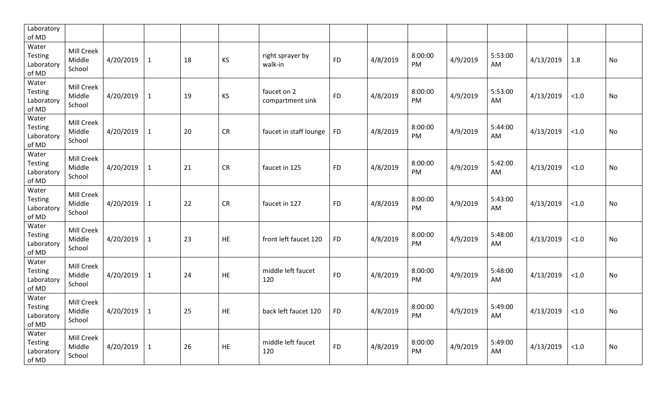| Laboratory<br>of MD                            |                                |           |              |    |           |                                 |           |          |               |          |               |           |        |           |
|------------------------------------------------|--------------------------------|-----------|--------------|----|-----------|---------------------------------|-----------|----------|---------------|----------|---------------|-----------|--------|-----------|
| Water<br>Testing<br>Laboratory<br>of MD        | Mill Creek<br>Middle<br>School | 4/20/2019 | $\mathbf{1}$ | 18 | <b>KS</b> | right sprayer by<br>walk-in     | <b>FD</b> | 4/8/2019 | 8:00:00<br>PM | 4/9/2019 | 5:53:00<br>AM | 4/13/2019 | 1.8    | No        |
| Water<br>Testing<br>Laboratory<br>of MD        | Mill Creek<br>Middle<br>School | 4/20/2019 | $\mathbf{1}$ | 19 | KS        | faucet on 2<br>compartment sink | <b>FD</b> | 4/8/2019 | 8:00:00<br>PM | 4/9/2019 | 5:53:00<br>AM | 4/13/2019 | < 1.0  | <b>No</b> |
| Water<br><b>Testing</b><br>Laboratory<br>of MD | Mill Creek<br>Middle<br>School | 4/20/2019 | $\mathbf{1}$ | 20 | <b>CR</b> | faucet in staff lounge          | <b>FD</b> | 4/8/2019 | 8:00:00<br>PM | 4/9/2019 | 5:44:00<br>AM | 4/13/2019 | $<1.0$ | No        |
| Water<br><b>Testing</b><br>Laboratory<br>of MD | Mill Creek<br>Middle<br>School | 4/20/2019 | $\mathbf{1}$ | 21 | <b>CR</b> | faucet in 125                   | <b>FD</b> | 4/8/2019 | 8:00:00<br>PM | 4/9/2019 | 5:42:00<br>AM | 4/13/2019 | < 1.0  | No        |
| Water<br><b>Testing</b><br>Laboratory<br>of MD | Mill Creek<br>Middle<br>School | 4/20/2019 | $\mathbf{1}$ | 22 | <b>CR</b> | faucet in 127                   | <b>FD</b> | 4/8/2019 | 8:00:00<br>PM | 4/9/2019 | 5:43:00<br>AM | 4/13/2019 | $<1.0$ | No        |
| Water<br><b>Testing</b><br>Laboratory<br>of MD | Mill Creek<br>Middle<br>School | 4/20/2019 | $\mathbf{1}$ | 23 | <b>HE</b> | front left faucet 120           | <b>FD</b> | 4/8/2019 | 8:00:00<br>PM | 4/9/2019 | 5:48:00<br>AM | 4/13/2019 | < 1.0  | No        |
| Water<br><b>Testing</b><br>Laboratory<br>of MD | Mill Creek<br>Middle<br>School | 4/20/2019 | $\mathbf{1}$ | 24 | HE        | middle left faucet<br>120       | <b>FD</b> | 4/8/2019 | 8:00:00<br>PM | 4/9/2019 | 5:48:00<br>AM | 4/13/2019 | < 1.0  | No        |
| Water<br><b>Testing</b><br>Laboratory<br>of MD | Mill Creek<br>Middle<br>School | 4/20/2019 | $\mathbf{1}$ | 25 | HE        | back left faucet 120            | <b>FD</b> | 4/8/2019 | 8:00:00<br>PM | 4/9/2019 | 5:49:00<br>AM | 4/13/2019 | $<1.0$ | No        |
| Water<br><b>Testing</b><br>Laboratory<br>of MD | Mill Creek<br>Middle<br>School | 4/20/2019 | $\mathbf{1}$ | 26 | HE        | middle left faucet<br>120       | <b>FD</b> | 4/8/2019 | 8:00:00<br>PM | 4/9/2019 | 5:49:00<br>AM | 4/13/2019 | $<1.0$ | No        |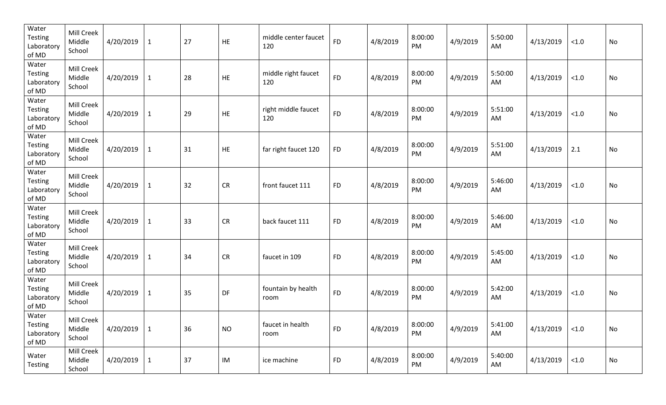| Water<br><b>Testing</b><br>Laboratory<br>of MD | Mill Creek<br>Middle<br>School | 4/20/2019 | $\mathbf{1}$ | 27 | HE         | middle center faucet<br>120 | <b>FD</b> | 4/8/2019 | 8:00:00<br>PM | 4/9/2019 | 5:50:00<br>AM | 4/13/2019 | $<1.0$ | No |
|------------------------------------------------|--------------------------------|-----------|--------------|----|------------|-----------------------------|-----------|----------|---------------|----------|---------------|-----------|--------|----|
| Water<br>Testing<br>Laboratory<br>of MD        | Mill Creek<br>Middle<br>School | 4/20/2019 | $\mathbf{1}$ | 28 | HE         | middle right faucet<br>120  | <b>FD</b> | 4/8/2019 | 8:00:00<br>PM | 4/9/2019 | 5:50:00<br>AM | 4/13/2019 | $<1.0$ | No |
| Water<br>Testing<br>Laboratory<br>of MD        | Mill Creek<br>Middle<br>School | 4/20/2019 | $\mathbf{1}$ | 29 | HE         | right middle faucet<br>120  | <b>FD</b> | 4/8/2019 | 8:00:00<br>PM | 4/9/2019 | 5:51:00<br>AM | 4/13/2019 | < 1.0  | No |
| Water<br>Testing<br>Laboratory<br>of MD        | Mill Creek<br>Middle<br>School | 4/20/2019 | $\mathbf{1}$ | 31 | HE         | far right faucet 120        | <b>FD</b> | 4/8/2019 | 8:00:00<br>PM | 4/9/2019 | 5:51:00<br>AM | 4/13/2019 | 2.1    | No |
| Water<br>Testing<br>Laboratory<br>of MD        | Mill Creek<br>Middle<br>School | 4/20/2019 | $\mathbf{1}$ | 32 | <b>CR</b>  | front faucet 111            | <b>FD</b> | 4/8/2019 | 8:00:00<br>PM | 4/9/2019 | 5:46:00<br>AM | 4/13/2019 | < 1.0  | No |
| Water<br>Testing<br>Laboratory<br>of MD        | Mill Creek<br>Middle<br>School | 4/20/2019 | $\mathbf 1$  | 33 | ${\sf CR}$ | back faucet 111             | <b>FD</b> | 4/8/2019 | 8:00:00<br>PM | 4/9/2019 | 5:46:00<br>AM | 4/13/2019 | < 1.0  | No |
| Water<br>Testing<br>Laboratory<br>of MD        | Mill Creek<br>Middle<br>School | 4/20/2019 | $\mathbf{1}$ | 34 | CR         | faucet in 109               | <b>FD</b> | 4/8/2019 | 8:00:00<br>PM | 4/9/2019 | 5:45:00<br>AM | 4/13/2019 | < 1.0  | No |
| Water<br><b>Testing</b><br>Laboratory<br>of MD | Mill Creek<br>Middle<br>School | 4/20/2019 | $\mathbf 1$  | 35 | DF         | fountain by health<br>room  | <b>FD</b> | 4/8/2019 | 8:00:00<br>PM | 4/9/2019 | 5:42:00<br>AM | 4/13/2019 | < 1.0  | No |
| Water<br>Testing<br>Laboratory<br>of MD        | Mill Creek<br>Middle<br>School | 4/20/2019 | $\mathbf{1}$ | 36 | <b>NO</b>  | faucet in health<br>room    | <b>FD</b> | 4/8/2019 | 8:00:00<br>PM | 4/9/2019 | 5:41:00<br>AM | 4/13/2019 | < 1.0  | No |
| Water<br>Testing                               | Mill Creek<br>Middle<br>School | 4/20/2019 | $\mathbf{1}$ | 37 | IM         | ice machine                 | <b>FD</b> | 4/8/2019 | 8:00:00<br>PM | 4/9/2019 | 5:40:00<br>AM | 4/13/2019 | < 1.0  | No |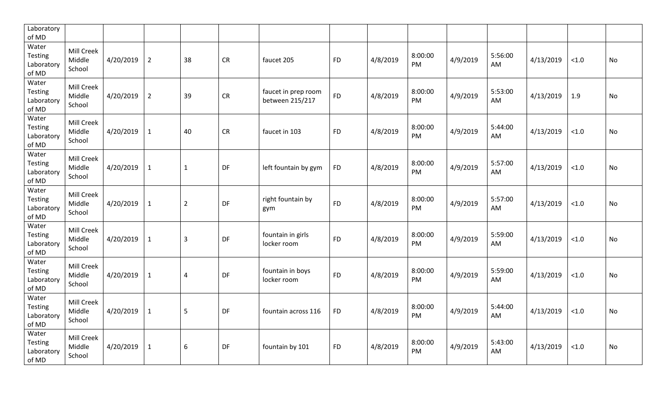| Laboratory<br>of MD                            |                                |           |                |                |           |                                        |           |          |               |          |               |           |        |    |
|------------------------------------------------|--------------------------------|-----------|----------------|----------------|-----------|----------------------------------------|-----------|----------|---------------|----------|---------------|-----------|--------|----|
| Water<br>Testing<br>Laboratory<br>of MD        | Mill Creek<br>Middle<br>School | 4/20/2019 | $\overline{2}$ | 38             | <b>CR</b> | faucet 205                             | <b>FD</b> | 4/8/2019 | 8:00:00<br>PM | 4/9/2019 | 5:56:00<br>AM | 4/13/2019 | $<1.0$ | No |
| Water<br><b>Testing</b><br>Laboratory<br>of MD | Mill Creek<br>Middle<br>School | 4/20/2019 | $\overline{2}$ | 39             | CR        | faucet in prep room<br>between 215/217 | <b>FD</b> | 4/8/2019 | 8:00:00<br>PM | 4/9/2019 | 5:53:00<br>AM | 4/13/2019 | 1.9    | No |
| Water<br><b>Testing</b><br>Laboratory<br>of MD | Mill Creek<br>Middle<br>School | 4/20/2019 | $\mathbf{1}$   | 40             | <b>CR</b> | faucet in 103                          | <b>FD</b> | 4/8/2019 | 8:00:00<br>PM | 4/9/2019 | 5:44:00<br>AM | 4/13/2019 | $<1.0$ | No |
| Water<br><b>Testing</b><br>Laboratory<br>of MD | Mill Creek<br>Middle<br>School | 4/20/2019 | $\mathbf{1}$   | $\mathbf{1}$   | DF        | left fountain by gym                   | <b>FD</b> | 4/8/2019 | 8:00:00<br>PM | 4/9/2019 | 5:57:00<br>AM | 4/13/2019 | < 1.0  | No |
| Water<br>Testing<br>Laboratory<br>of MD        | Mill Creek<br>Middle<br>School | 4/20/2019 | $\mathbf{1}$   | $\overline{2}$ | DF        | right fountain by<br>gym               | <b>FD</b> | 4/8/2019 | 8:00:00<br>PM | 4/9/2019 | 5:57:00<br>AM | 4/13/2019 | $<1.0$ | No |
| Water<br><b>Testing</b><br>Laboratory<br>of MD | Mill Creek<br>Middle<br>School | 4/20/2019 | $\mathbf{1}$   | $\overline{3}$ | DF        | fountain in girls<br>locker room       | <b>FD</b> | 4/8/2019 | 8:00:00<br>PM | 4/9/2019 | 5:59:00<br>AM | 4/13/2019 | $<1.0$ | No |
| Water<br>Testing<br>Laboratory<br>of MD        | Mill Creek<br>Middle<br>School | 4/20/2019 | $\mathbf{1}$   | $\overline{4}$ | DF        | fountain in boys<br>locker room        | <b>FD</b> | 4/8/2019 | 8:00:00<br>PM | 4/9/2019 | 5:59:00<br>AM | 4/13/2019 | $<1.0$ | No |
| Water<br>Testing<br>Laboratory<br>of MD        | Mill Creek<br>Middle<br>School | 4/20/2019 | $\mathbf{1}$   | 5              | DF        | fountain across 116                    | <b>FD</b> | 4/8/2019 | 8:00:00<br>PM | 4/9/2019 | 5:44:00<br>AM | 4/13/2019 | $<1.0$ | No |
| Water<br><b>Testing</b><br>Laboratory<br>of MD | Mill Creek<br>Middle<br>School | 4/20/2019 | $\mathbf{1}$   | 6              | DF        | fountain by 101                        | <b>FD</b> | 4/8/2019 | 8:00:00<br>PM | 4/9/2019 | 5:43:00<br>AM | 4/13/2019 | $<1.0$ | No |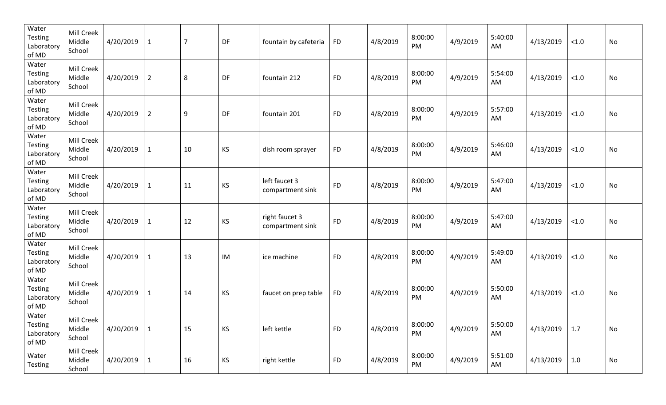| Water<br><b>Testing</b><br>Laboratory<br>of MD | Mill Creek<br>Middle<br>School | 4/20/2019 | $\mathbf{1}$   | $\overline{7}$   | DF | fountain by cafeteria              | <b>FD</b> | 4/8/2019 | 8:00:00<br><b>PM</b> | 4/9/2019 | 5:40:00<br>AM | 4/13/2019 | $<1.0$ | No |
|------------------------------------------------|--------------------------------|-----------|----------------|------------------|----|------------------------------------|-----------|----------|----------------------|----------|---------------|-----------|--------|----|
| Water<br><b>Testing</b><br>Laboratory<br>of MD | Mill Creek<br>Middle<br>School | 4/20/2019 | $\overline{2}$ | 8                | DF | fountain 212                       | <b>FD</b> | 4/8/2019 | 8:00:00<br>PM        | 4/9/2019 | 5:54:00<br>AM | 4/13/2019 | $<1.0$ | No |
| Water<br><b>Testing</b><br>Laboratory<br>of MD | Mill Creek<br>Middle<br>School | 4/20/2019 | $\overline{2}$ | $\boldsymbol{9}$ | DF | fountain 201                       | <b>FD</b> | 4/8/2019 | 8:00:00<br><b>PM</b> | 4/9/2019 | 5:57:00<br>AM | 4/13/2019 | < 1.0  | No |
| Water<br><b>Testing</b><br>Laboratory<br>of MD | Mill Creek<br>Middle<br>School | 4/20/2019 | $\mathbf{1}$   | 10               | KS | dish room sprayer                  | <b>FD</b> | 4/8/2019 | 8:00:00<br>PM        | 4/9/2019 | 5:46:00<br>AM | 4/13/2019 | $<1.0$ | No |
| Water<br><b>Testing</b><br>Laboratory<br>of MD | Mill Creek<br>Middle<br>School | 4/20/2019 | $\mathbf{1}$   | 11               | KS | left faucet 3<br>compartment sink  | <b>FD</b> | 4/8/2019 | 8:00:00<br>PM        | 4/9/2019 | 5:47:00<br>AM | 4/13/2019 | < 1.0  | No |
| Water<br><b>Testing</b><br>Laboratory<br>of MD | Mill Creek<br>Middle<br>School | 4/20/2019 | $\mathbf{1}$   | 12               | KS | right faucet 3<br>compartment sink | <b>FD</b> | 4/8/2019 | 8:00:00<br>PM        | 4/9/2019 | 5:47:00<br>AM | 4/13/2019 | $<1.0$ | No |
| Water<br><b>Testing</b><br>Laboratory<br>of MD | Mill Creek<br>Middle<br>School | 4/20/2019 | $\mathbf{1}$   | 13               | IM | ice machine                        | <b>FD</b> | 4/8/2019 | 8:00:00<br>PM        | 4/9/2019 | 5:49:00<br>AM | 4/13/2019 | $<1.0$ | No |
| Water<br><b>Testing</b><br>Laboratory<br>of MD | Mill Creek<br>Middle<br>School | 4/20/2019 | $\mathbf{1}$   | 14               | KS | faucet on prep table               | <b>FD</b> | 4/8/2019 | 8:00:00<br>PM        | 4/9/2019 | 5:50:00<br>AM | 4/13/2019 | $<1.0$ | No |
| Water<br>Testing<br>Laboratory<br>of MD        | Mill Creek<br>Middle<br>School | 4/20/2019 | $\mathbf{1}$   | 15               | KS | left kettle                        | <b>FD</b> | 4/8/2019 | 8:00:00<br>PM        | 4/9/2019 | 5:50:00<br>AM | 4/13/2019 | 1.7    | No |
| Water<br><b>Testing</b>                        | Mill Creek<br>Middle<br>School | 4/20/2019 | $\mathbf{1}$   | 16               | KS | right kettle                       | <b>FD</b> | 4/8/2019 | 8:00:00<br>PM        | 4/9/2019 | 5:51:00<br>AM | 4/13/2019 | 1.0    | No |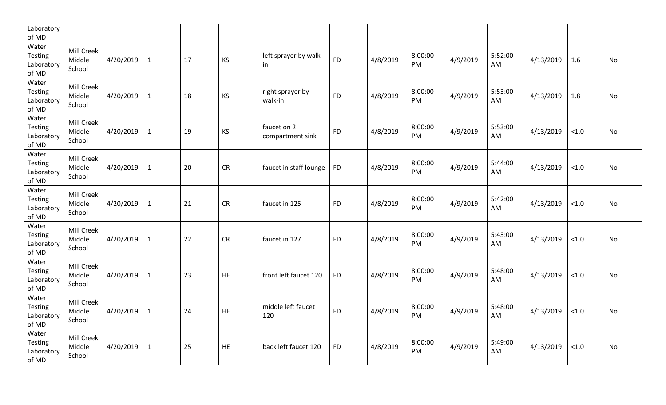| Laboratory<br>of MD                            |                                |           |              |    |           |                                 |           |          |               |          |               |           |        |           |
|------------------------------------------------|--------------------------------|-----------|--------------|----|-----------|---------------------------------|-----------|----------|---------------|----------|---------------|-----------|--------|-----------|
| Water<br><b>Testing</b><br>Laboratory<br>of MD | Mill Creek<br>Middle<br>School | 4/20/2019 | $\mathbf{1}$ | 17 | KS        | left sprayer by walk-<br>in     | <b>FD</b> | 4/8/2019 | 8:00:00<br>PM | 4/9/2019 | 5:52:00<br>AM | 4/13/2019 | 1.6    | No        |
| Water<br><b>Testing</b><br>Laboratory<br>of MD | Mill Creek<br>Middle<br>School | 4/20/2019 | $\mathbf{1}$ | 18 | KS        | right sprayer by<br>walk-in     | <b>FD</b> | 4/8/2019 | 8:00:00<br>PM | 4/9/2019 | 5:53:00<br>AM | 4/13/2019 | 1.8    | No        |
| Water<br><b>Testing</b><br>Laboratory<br>of MD | Mill Creek<br>Middle<br>School | 4/20/2019 | $\mathbf{1}$ | 19 | KS        | faucet on 2<br>compartment sink | <b>FD</b> | 4/8/2019 | 8:00:00<br>PM | 4/9/2019 | 5:53:00<br>AM | 4/13/2019 | $<1.0$ | No        |
| Water<br><b>Testing</b><br>Laboratory<br>of MD | Mill Creek<br>Middle<br>School | 4/20/2019 | $\mathbf{1}$ | 20 | <b>CR</b> | faucet in staff lounge          | <b>FD</b> | 4/8/2019 | 8:00:00<br>PM | 4/9/2019 | 5:44:00<br>AM | 4/13/2019 | < 1.0  | <b>No</b> |
| Water<br><b>Testing</b><br>Laboratory<br>of MD | Mill Creek<br>Middle<br>School | 4/20/2019 | $\mathbf{1}$ | 21 | <b>CR</b> | faucet in 125                   | <b>FD</b> | 4/8/2019 | 8:00:00<br>PM | 4/9/2019 | 5:42:00<br>AM | 4/13/2019 | < 1.0  | No        |
| Water<br><b>Testing</b><br>Laboratory<br>of MD | Mill Creek<br>Middle<br>School | 4/20/2019 | $\mathbf{1}$ | 22 | <b>CR</b> | faucet in 127                   | <b>FD</b> | 4/8/2019 | 8:00:00<br>PM | 4/9/2019 | 5:43:00<br>AM | 4/13/2019 | < 1.0  | <b>No</b> |
| Water<br>Testing<br>Laboratory<br>of MD        | Mill Creek<br>Middle<br>School | 4/20/2019 | $\mathbf{1}$ | 23 | HE        | front left faucet 120           | <b>FD</b> | 4/8/2019 | 8:00:00<br>PM | 4/9/2019 | 5:48:00<br>AM | 4/13/2019 | < 1.0  | No        |
| Water<br>Testing<br>Laboratory<br>of MD        | Mill Creek<br>Middle<br>School | 4/20/2019 | $\mathbf{1}$ | 24 | HE        | middle left faucet<br>120       | <b>FD</b> | 4/8/2019 | 8:00:00<br>PM | 4/9/2019 | 5:48:00<br>AM | 4/13/2019 | < 1.0  | No        |
| Water<br>Testing<br>Laboratory<br>of MD        | Mill Creek<br>Middle<br>School | 4/20/2019 | $\mathbf{1}$ | 25 | <b>HE</b> | back left faucet 120            | <b>FD</b> | 4/8/2019 | 8:00:00<br>PM | 4/9/2019 | 5:49:00<br>AM | 4/13/2019 | < 1.0  | <b>No</b> |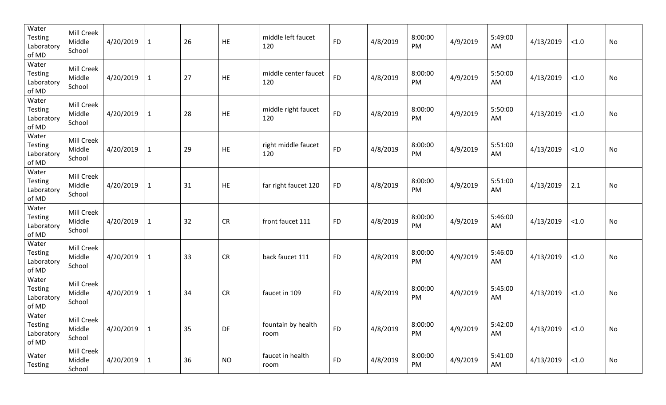| Water<br><b>Testing</b><br>Laboratory<br>of MD | Mill Creek<br>Middle<br>School | 4/20/2019 | $\mathbf{1}$ | 26 | HE         | middle left faucet<br>120   | <b>FD</b> | 4/8/2019 | 8:00:00<br>PM | 4/9/2019 | 5:49:00<br>AM | 4/13/2019 | $<1.0$ | No |
|------------------------------------------------|--------------------------------|-----------|--------------|----|------------|-----------------------------|-----------|----------|---------------|----------|---------------|-----------|--------|----|
| Water<br><b>Testing</b><br>Laboratory<br>of MD | Mill Creek<br>Middle<br>School | 4/20/2019 | $\mathbf{1}$ | 27 | HE         | middle center faucet<br>120 | <b>FD</b> | 4/8/2019 | 8:00:00<br>PM | 4/9/2019 | 5:50:00<br>AM | 4/13/2019 | < 1.0  | No |
| Water<br>Testing<br>Laboratory<br>of MD        | Mill Creek<br>Middle<br>School | 4/20/2019 | $\mathbf{1}$ | 28 | HE         | middle right faucet<br>120  | <b>FD</b> | 4/8/2019 | 8:00:00<br>PM | 4/9/2019 | 5:50:00<br>AM | 4/13/2019 | < 1.0  | No |
| Water<br>Testing<br>Laboratory<br>of MD        | Mill Creek<br>Middle<br>School | 4/20/2019 | $\mathbf{1}$ | 29 | HE         | right middle faucet<br>120  | <b>FD</b> | 4/8/2019 | 8:00:00<br>PM | 4/9/2019 | 5:51:00<br>AM | 4/13/2019 | < 1.0  | No |
| Water<br>Testing<br>Laboratory<br>of MD        | Mill Creek<br>Middle<br>School | 4/20/2019 | $\mathbf{1}$ | 31 | HE         | far right faucet 120        | <b>FD</b> | 4/8/2019 | 8:00:00<br>PM | 4/9/2019 | 5:51:00<br>AM | 4/13/2019 | 2.1    | No |
| Water<br>Testing<br>Laboratory<br>of MD        | Mill Creek<br>Middle<br>School | 4/20/2019 | $\mathbf 1$  | 32 | ${\sf CR}$ | front faucet 111            | <b>FD</b> | 4/8/2019 | 8:00:00<br>PM | 4/9/2019 | 5:46:00<br>AM | 4/13/2019 | < 1.0  | No |
| Water<br>Testing<br>Laboratory<br>of MD        | Mill Creek<br>Middle<br>School | 4/20/2019 | $\mathbf{1}$ | 33 | CR         | back faucet 111             | <b>FD</b> | 4/8/2019 | 8:00:00<br>PM | 4/9/2019 | 5:46:00<br>AM | 4/13/2019 | < 1.0  | No |
| Water<br><b>Testing</b><br>Laboratory<br>of MD | Mill Creek<br>Middle<br>School | 4/20/2019 | $\mathbf 1$  | 34 | CR         | faucet in 109               | <b>FD</b> | 4/8/2019 | 8:00:00<br>PM | 4/9/2019 | 5:45:00<br>AM | 4/13/2019 | < 1.0  | No |
| Water<br>Testing<br>Laboratory<br>of MD        | Mill Creek<br>Middle<br>School | 4/20/2019 | $\mathbf{1}$ | 35 | DF         | fountain by health<br>room  | <b>FD</b> | 4/8/2019 | 8:00:00<br>PM | 4/9/2019 | 5:42:00<br>AM | 4/13/2019 | < 1.0  | No |
| Water<br>Testing                               | Mill Creek<br>Middle<br>School | 4/20/2019 | $\mathbf{1}$ | 36 | <b>NO</b>  | faucet in health<br>room    | <b>FD</b> | 4/8/2019 | 8:00:00<br>PM | 4/9/2019 | 5:41:00<br>AM | 4/13/2019 | < 1.0  | No |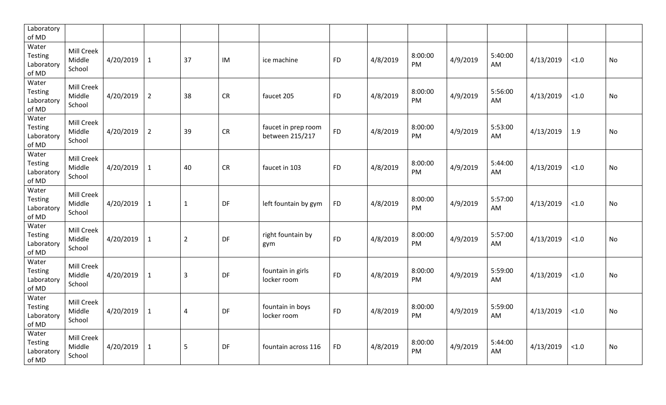| Laboratory<br>of MD                     |                                |           |                |                         |           |                                        |           |          |               |          |               |           |       |           |
|-----------------------------------------|--------------------------------|-----------|----------------|-------------------------|-----------|----------------------------------------|-----------|----------|---------------|----------|---------------|-----------|-------|-----------|
| Water<br>Testing<br>Laboratory<br>of MD | Mill Creek<br>Middle<br>School | 4/20/2019 | $\mathbf{1}$   | 37                      | IM        | ice machine                            | <b>FD</b> | 4/8/2019 | 8:00:00<br>PM | 4/9/2019 | 5:40:00<br>AM | 4/13/2019 | < 1.0 | No        |
| Water<br>Testing<br>Laboratory<br>of MD | Mill Creek<br>Middle<br>School | 4/20/2019 | $\overline{2}$ | 38                      | CR        | faucet 205                             | <b>FD</b> | 4/8/2019 | 8:00:00<br>PM | 4/9/2019 | 5:56:00<br>AM | 4/13/2019 | < 1.0 | No        |
| Water<br>Testing<br>Laboratory<br>of MD | Mill Creek<br>Middle<br>School | 4/20/2019 | $\overline{2}$ | 39                      | CR        | faucet in prep room<br>between 215/217 | <b>FD</b> | 4/8/2019 | 8:00:00<br>PM | 4/9/2019 | 5:53:00<br>AM | 4/13/2019 | 1.9   | No        |
| Water<br>Testing<br>Laboratory<br>of MD | Mill Creek<br>Middle<br>School | 4/20/2019 | $\mathbf 1$    | 40                      | CR        | faucet in 103                          | <b>FD</b> | 4/8/2019 | 8:00:00<br>PM | 4/9/2019 | 5:44:00<br>AM | 4/13/2019 | < 1.0 | <b>No</b> |
| Water<br>Testing<br>Laboratory<br>of MD | Mill Creek<br>Middle<br>School | 4/20/2019 | $\mathbf{1}$   | $\mathbf{1}$            | DF        | left fountain by gym                   | <b>FD</b> | 4/8/2019 | 8:00:00<br>PM | 4/9/2019 | 5:57:00<br>AM | 4/13/2019 | < 1.0 | No        |
| Water<br>Testing<br>Laboratory<br>of MD | Mill Creek<br>Middle<br>School | 4/20/2019 | $\mathbf{1}$   | $\overline{2}$          | DF        | right fountain by<br>gym               | <b>FD</b> | 4/8/2019 | 8:00:00<br>PM | 4/9/2019 | 5:57:00<br>AM | 4/13/2019 | < 1.0 | No        |
| Water<br>Testing<br>Laboratory<br>of MD | Mill Creek<br>Middle<br>School | 4/20/2019 | $\mathbf{1}$   | $\overline{3}$          | DF        | fountain in girls<br>locker room       | <b>FD</b> | 4/8/2019 | 8:00:00<br>PM | 4/9/2019 | 5:59:00<br>AM | 4/13/2019 | < 1.0 | No        |
| Water<br>Testing<br>Laboratory<br>of MD | Mill Creek<br>Middle<br>School | 4/20/2019 | $\mathbf{1}$   | $\overline{\mathbf{4}}$ | DF        | fountain in boys<br>locker room        | <b>FD</b> | 4/8/2019 | 8:00:00<br>PM | 4/9/2019 | 5:59:00<br>AM | 4/13/2019 | < 1.0 | No        |
| Water<br>Testing<br>Laboratory<br>of MD | Mill Creek<br>Middle<br>School | 4/20/2019 | $\mathbf{1}$   | 5                       | <b>DF</b> | fountain across 116                    | <b>FD</b> | 4/8/2019 | 8:00:00<br>PM | 4/9/2019 | 5:44:00<br>AM | 4/13/2019 | < 1.0 | <b>No</b> |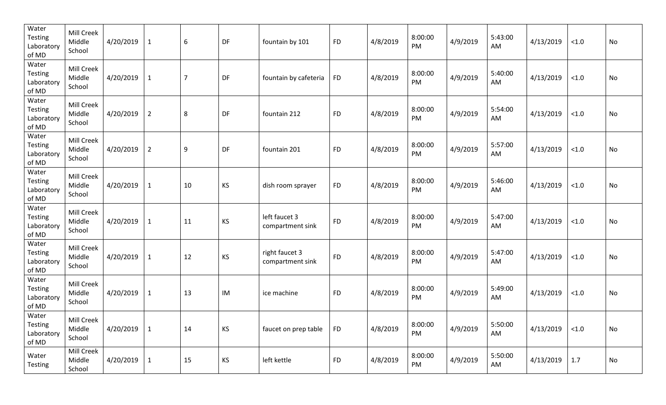| Water<br><b>Testing</b><br>Laboratory<br>of MD | Mill Creek<br>Middle<br>School | 4/20/2019 | $\mathbf{1}$   | $\boldsymbol{6}$ | DF | fountain by 101                    | <b>FD</b> | 4/8/2019 | 8:00:00<br>PM | 4/9/2019 | 5:43:00<br>AM | 4/13/2019 | < 1.0  | No |
|------------------------------------------------|--------------------------------|-----------|----------------|------------------|----|------------------------------------|-----------|----------|---------------|----------|---------------|-----------|--------|----|
| Water<br>Testing<br>Laboratory<br>of MD        | Mill Creek<br>Middle<br>School | 4/20/2019 | $\mathbf{1}$   | $\overline{7}$   | DF | fountain by cafeteria              | <b>FD</b> | 4/8/2019 | 8:00:00<br>PM | 4/9/2019 | 5:40:00<br>AM | 4/13/2019 | < 1.0  | No |
| Water<br>Testing<br>Laboratory<br>of MD        | Mill Creek<br>Middle<br>School | 4/20/2019 | $\overline{2}$ | 8                | DF | fountain 212                       | <b>FD</b> | 4/8/2019 | 8:00:00<br>PM | 4/9/2019 | 5:54:00<br>AM | 4/13/2019 | < 1.0  | No |
| Water<br>Testing<br>Laboratory<br>of MD        | Mill Creek<br>Middle<br>School | 4/20/2019 | $\overline{2}$ | $\boldsymbol{9}$ | DF | fountain 201                       | <b>FD</b> | 4/8/2019 | 8:00:00<br>PM | 4/9/2019 | 5:57:00<br>AM | 4/13/2019 | < 1.0  | No |
| Water<br><b>Testing</b><br>Laboratory<br>of MD | Mill Creek<br>Middle<br>School | 4/20/2019 | $\mathbf{1}$   | 10               | KS | dish room sprayer                  | <b>FD</b> | 4/8/2019 | 8:00:00<br>PM | 4/9/2019 | 5:46:00<br>AM | 4/13/2019 | $<1.0$ | No |
| Water<br>Testing<br>Laboratory<br>of MD        | Mill Creek<br>Middle<br>School | 4/20/2019 | $\mathbf{1}$   | 11               | KS | left faucet 3<br>compartment sink  | <b>FD</b> | 4/8/2019 | 8:00:00<br>PM | 4/9/2019 | 5:47:00<br>AM | 4/13/2019 | < 1.0  | No |
| Water<br>Testing<br>Laboratory<br>of MD        | Mill Creek<br>Middle<br>School | 4/20/2019 | $\mathbf{1}$   | 12               | KS | right faucet 3<br>compartment sink | <b>FD</b> | 4/8/2019 | 8:00:00<br>PM | 4/9/2019 | 5:47:00<br>AM | 4/13/2019 | < 1.0  | No |
| Water<br>Testing<br>Laboratory<br>of MD        | Mill Creek<br>Middle<br>School | 4/20/2019 | $\mathbf{1}$   | 13               | IM | ice machine                        | <b>FD</b> | 4/8/2019 | 8:00:00<br>PM | 4/9/2019 | 5:49:00<br>AM | 4/13/2019 | < 1.0  | No |
| Water<br><b>Testing</b><br>Laboratory<br>of MD | Mill Creek<br>Middle<br>School | 4/20/2019 | $\mathbf{1}$   | 14               | KS | faucet on prep table               | <b>FD</b> | 4/8/2019 | 8:00:00<br>PM | 4/9/2019 | 5:50:00<br>AM | 4/13/2019 | < 1.0  | No |
| Water<br><b>Testing</b>                        | Mill Creek<br>Middle<br>School | 4/20/2019 | $\mathbf{1}$   | 15               | KS | left kettle                        | <b>FD</b> | 4/8/2019 | 8:00:00<br>PM | 4/9/2019 | 5:50:00<br>AM | 4/13/2019 | 1.7    | No |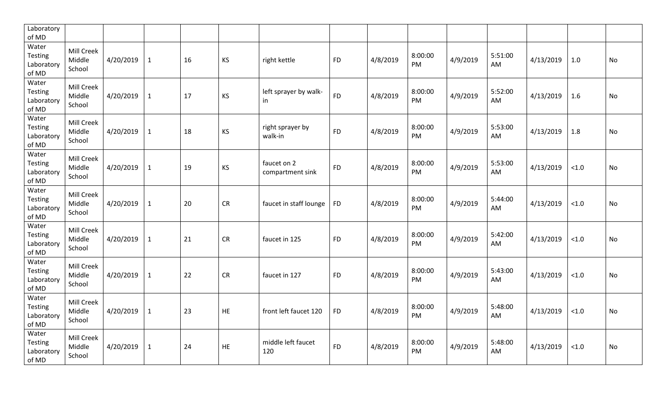| Laboratory<br>of MD                            |                                |           |              |    |           |                                 |           |          |               |          |               |           |       |           |
|------------------------------------------------|--------------------------------|-----------|--------------|----|-----------|---------------------------------|-----------|----------|---------------|----------|---------------|-----------|-------|-----------|
| Water<br>Testing<br>Laboratory<br>of MD        | Mill Creek<br>Middle<br>School | 4/20/2019 | $\mathbf{1}$ | 16 | KS        | right kettle                    | <b>FD</b> | 4/8/2019 | 8:00:00<br>PM | 4/9/2019 | 5:51:00<br>AM | 4/13/2019 | 1.0   | <b>No</b> |
| Water<br>Testing<br>Laboratory<br>of MD        | Mill Creek<br>Middle<br>School | 4/20/2019 | $\mathbf{1}$ | 17 | KS        | left sprayer by walk-<br>in     | <b>FD</b> | 4/8/2019 | 8:00:00<br>PM | 4/9/2019 | 5:52:00<br>AM | 4/13/2019 | 1.6   | No        |
| Water<br><b>Testing</b><br>Laboratory<br>of MD | Mill Creek<br>Middle<br>School | 4/20/2019 | $\mathbf{1}$ | 18 | KS        | right sprayer by<br>walk-in     | <b>FD</b> | 4/8/2019 | 8:00:00<br>PM | 4/9/2019 | 5:53:00<br>AM | 4/13/2019 | 1.8   | No        |
| Water<br><b>Testing</b><br>Laboratory<br>of MD | Mill Creek<br>Middle<br>School | 4/20/2019 | $\mathbf{1}$ | 19 | KS        | faucet on 2<br>compartment sink | <b>FD</b> | 4/8/2019 | 8:00:00<br>PM | 4/9/2019 | 5:53:00<br>AM | 4/13/2019 | < 1.0 | No        |
| Water<br>Testing<br>Laboratory<br>of MD        | Mill Creek<br>Middle<br>School | 4/20/2019 | $\mathbf{1}$ | 20 | <b>CR</b> | faucet in staff lounge          | <b>FD</b> | 4/8/2019 | 8:00:00<br>PM | 4/9/2019 | 5:44:00<br>AM | 4/13/2019 | < 1.0 | No        |
| Water<br><b>Testing</b><br>Laboratory<br>of MD | Mill Creek<br>Middle<br>School | 4/20/2019 | $\mathbf{1}$ | 21 | <b>CR</b> | faucet in 125                   | <b>FD</b> | 4/8/2019 | 8:00:00<br>PM | 4/9/2019 | 5:42:00<br>AM | 4/13/2019 | < 1.0 | No        |
| Water<br>Testing<br>Laboratory<br>of MD        | Mill Creek<br>Middle<br>School | 4/20/2019 | $\mathbf{1}$ | 22 | <b>CR</b> | faucet in 127                   | <b>FD</b> | 4/8/2019 | 8:00:00<br>PM | 4/9/2019 | 5:43:00<br>AM | 4/13/2019 | < 1.0 | <b>No</b> |
| Water<br>Testing<br>Laboratory<br>of MD        | Mill Creek<br>Middle<br>School | 4/20/2019 | $\mathbf{1}$ | 23 | <b>HE</b> | front left faucet 120           | <b>FD</b> | 4/8/2019 | 8:00:00<br>PM | 4/9/2019 | 5:48:00<br>AM | 4/13/2019 | < 1.0 | <b>No</b> |
| Water<br><b>Testing</b><br>Laboratory<br>of MD | Mill Creek<br>Middle<br>School | 4/20/2019 | $\mathbf{1}$ | 24 | HE        | middle left faucet<br>120       | <b>FD</b> | 4/8/2019 | 8:00:00<br>PM | 4/9/2019 | 5:48:00<br>AM | 4/13/2019 | < 1.0 | <b>No</b> |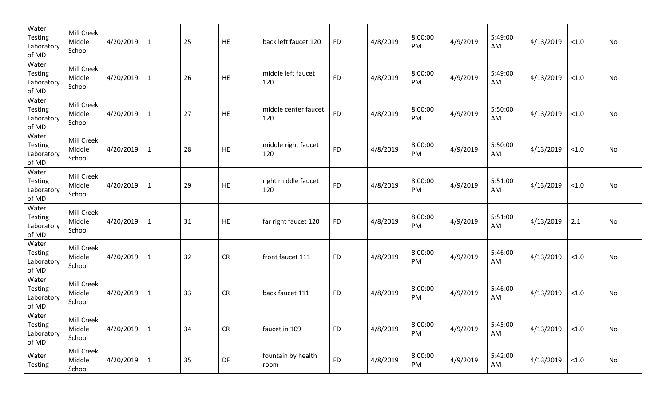| Water<br><b>Testing</b><br>Laboratory<br>of MD | Mill Creek<br>Middle<br>School | 4/20/2019 | $\mathbf{1}$ | 25 | HE | back left faucet 120        | <b>FD</b> | 4/8/2019 | 8:00:00<br><b>PM</b> | 4/9/2019 | 5:49:00<br>AM | 4/13/2019 | < 1.0  | <b>No</b> |
|------------------------------------------------|--------------------------------|-----------|--------------|----|----|-----------------------------|-----------|----------|----------------------|----------|---------------|-----------|--------|-----------|
| Water<br><b>Testing</b><br>Laboratory<br>of MD | Mill Creek<br>Middle<br>School | 4/20/2019 | $\mathbf{1}$ | 26 | HE | middle left faucet<br>120   | <b>FD</b> | 4/8/2019 | 8:00:00<br>PM        | 4/9/2019 | 5:49:00<br>AM | 4/13/2019 | < 1.0  | No        |
| Water<br>Testing<br>Laboratory<br>of MD        | Mill Creek<br>Middle<br>School | 4/20/2019 | $\mathbf{1}$ | 27 | HE | middle center faucet<br>120 | <b>FD</b> | 4/8/2019 | 8:00:00<br>PM        | 4/9/2019 | 5:50:00<br>AM | 4/13/2019 | < 1.0  | No        |
| Water<br>Testing<br>Laboratory<br>of MD        | Mill Creek<br>Middle<br>School | 4/20/2019 | $\mathbf{1}$ | 28 | HE | middle right faucet<br>120  | <b>FD</b> | 4/8/2019 | 8:00:00<br>PM        | 4/9/2019 | 5:50:00<br>AM | 4/13/2019 | < 1.0  | No        |
| Water<br>Testing<br>Laboratory<br>of MD        | Mill Creek<br>Middle<br>School | 4/20/2019 | $\mathbf{1}$ | 29 | HE | right middle faucet<br>120  | <b>FD</b> | 4/8/2019 | 8:00:00<br>PM        | 4/9/2019 | 5:51:00<br>AM | 4/13/2019 | < 1.0  | No        |
| Water<br>Testing<br>Laboratory<br>of MD        | Mill Creek<br>Middle<br>School | 4/20/2019 | $\mathbf 1$  | 31 | HE | far right faucet 120        | <b>FD</b> | 4/8/2019 | 8:00:00<br>PM        | 4/9/2019 | 5:51:00<br>AM | 4/13/2019 | 2.1    | No        |
| Water<br>Testing<br>Laboratory<br>of MD        | Mill Creek<br>Middle<br>School | 4/20/2019 | $\mathbf{1}$ | 32 | CR | front faucet 111            | <b>FD</b> | 4/8/2019 | 8:00:00<br>PM        | 4/9/2019 | 5:46:00<br>AM | 4/13/2019 | < 1.0  | No        |
| Water<br><b>Testing</b><br>Laboratory<br>of MD | Mill Creek<br>Middle<br>School | 4/20/2019 | $\mathbf{1}$ | 33 | CR | back faucet 111             | <b>FD</b> | 4/8/2019 | 8:00:00<br>PM        | 4/9/2019 | 5:46:00<br>AM | 4/13/2019 | < 1.0  | No        |
| Water<br>Testing<br>Laboratory<br>of MD        | Mill Creek<br>Middle<br>School | 4/20/2019 | $\mathbf{1}$ | 34 | CR | faucet in 109               | <b>FD</b> | 4/8/2019 | 8:00:00<br>PM        | 4/9/2019 | 5:45:00<br>AM | 4/13/2019 | $<1.0$ | No        |
| Water<br>Testing                               | Mill Creek<br>Middle<br>School | 4/20/2019 | $\mathbf{1}$ | 35 | DF | fountain by health<br>room  | <b>FD</b> | 4/8/2019 | 8:00:00<br>PM        | 4/9/2019 | 5:42:00<br>AM | 4/13/2019 | < 1.0  | No        |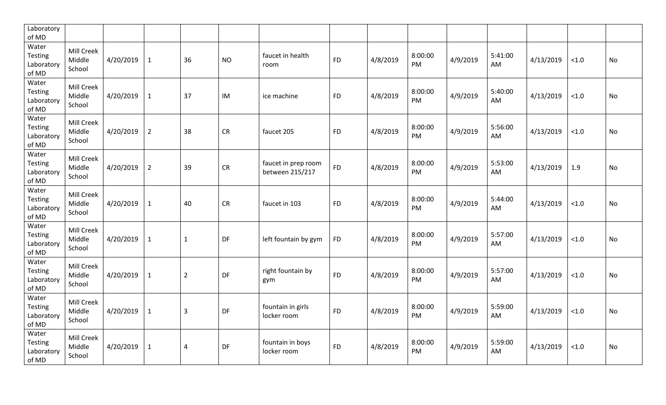| Laboratory<br>of MD                            |                                |           |                |                |           |                                        |           |          |                      |          |               |           |       |           |
|------------------------------------------------|--------------------------------|-----------|----------------|----------------|-----------|----------------------------------------|-----------|----------|----------------------|----------|---------------|-----------|-------|-----------|
| Water<br>Testing<br>Laboratory<br>of MD        | Mill Creek<br>Middle<br>School | 4/20/2019 | $\mathbf{1}$   | 36             | <b>NO</b> | faucet in health<br>room               | <b>FD</b> | 4/8/2019 | 8:00:00<br>PM        | 4/9/2019 | 5:41:00<br>AM | 4/13/2019 | < 1.0 | No        |
| Water<br>Testing<br>Laboratory<br>of MD        | Mill Creek<br>Middle<br>School | 4/20/2019 | $\mathbf{1}$   | 37             | IM        | ice machine                            | <b>FD</b> | 4/8/2019 | 8:00:00<br><b>PM</b> | 4/9/2019 | 5:40:00<br>AM | 4/13/2019 | < 1.0 | <b>No</b> |
| Water<br><b>Testing</b><br>Laboratory<br>of MD | Mill Creek<br>Middle<br>School | 4/20/2019 | $\overline{2}$ | 38             | CR        | faucet 205                             | <b>FD</b> | 4/8/2019 | 8:00:00<br>PM        | 4/9/2019 | 5:56:00<br>AM | 4/13/2019 | < 1.0 | No        |
| Water<br><b>Testing</b><br>Laboratory<br>of MD | Mill Creek<br>Middle<br>School | 4/20/2019 | $\overline{2}$ | 39             | <b>CR</b> | faucet in prep room<br>between 215/217 | <b>FD</b> | 4/8/2019 | 8:00:00<br>PM        | 4/9/2019 | 5:53:00<br>AM | 4/13/2019 | 1.9   | No        |
| Water<br>Testing<br>Laboratory<br>of MD        | Mill Creek<br>Middle<br>School | 4/20/2019 | $\mathbf{1}$   | 40             | CR        | faucet in 103                          | <b>FD</b> | 4/8/2019 | 8:00:00<br>PM        | 4/9/2019 | 5:44:00<br>AM | 4/13/2019 | < 1.0 | No        |
| Water<br><b>Testing</b><br>Laboratory<br>of MD | Mill Creek<br>Middle<br>School | 4/20/2019 | $\mathbf{1}$   | $\mathbf{1}$   | DF        | left fountain by gym                   | <b>FD</b> | 4/8/2019 | 8:00:00<br>PM        | 4/9/2019 | 5:57:00<br>AM | 4/13/2019 | < 1.0 | No        |
| Water<br>Testing<br>Laboratory<br>of MD        | Mill Creek<br>Middle<br>School | 4/20/2019 | $\mathbf{1}$   | $\overline{2}$ | <b>DF</b> | right fountain by<br>gym               | <b>FD</b> | 4/8/2019 | 8:00:00<br>PM        | 4/9/2019 | 5:57:00<br>AM | 4/13/2019 | < 1.0 | <b>No</b> |
| Water<br>Testing<br>Laboratory<br>of MD        | Mill Creek<br>Middle<br>School | 4/20/2019 | $\mathbf{1}$   | $\overline{3}$ | DF        | fountain in girls<br>locker room       | <b>FD</b> | 4/8/2019 | 8:00:00<br>PM        | 4/9/2019 | 5:59:00<br>AM | 4/13/2019 | < 1.0 | <b>No</b> |
| Water<br><b>Testing</b><br>Laboratory<br>of MD | Mill Creek<br>Middle<br>School | 4/20/2019 | $\mathbf{1}$   | $\overline{4}$ | DF        | fountain in boys<br>locker room        | <b>FD</b> | 4/8/2019 | 8:00:00<br><b>PM</b> | 4/9/2019 | 5:59:00<br>AM | 4/13/2019 | < 1.0 | <b>No</b> |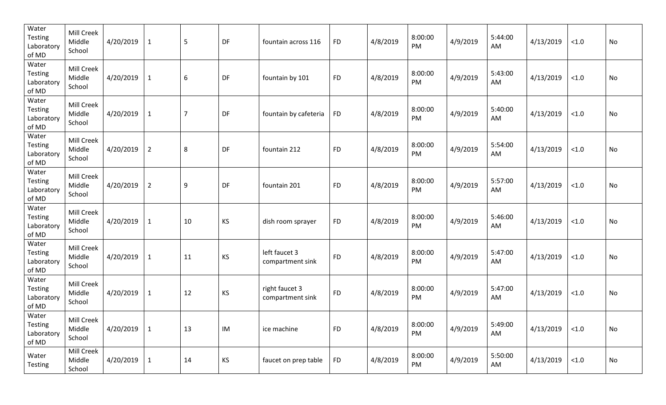| Water<br><b>Testing</b><br>Laboratory<br>of MD | Mill Creek<br>Middle<br>School | 4/20/2019 | $\mathbf{1}$   | 5                | DF | fountain across 116                | <b>FD</b> | 4/8/2019 | 8:00:00<br>PM | 4/9/2019 | 5:44:00<br>AM | 4/13/2019 | < 1.0  | No |
|------------------------------------------------|--------------------------------|-----------|----------------|------------------|----|------------------------------------|-----------|----------|---------------|----------|---------------|-----------|--------|----|
| Water<br>Testing<br>Laboratory<br>of MD        | Mill Creek<br>Middle<br>School | 4/20/2019 | $\mathbf{1}$   | $\boldsymbol{6}$ | DF | fountain by 101                    | <b>FD</b> | 4/8/2019 | 8:00:00<br>PM | 4/9/2019 | 5:43:00<br>AM | 4/13/2019 | < 1.0  | No |
| Water<br>Testing<br>Laboratory<br>of MD        | Mill Creek<br>Middle<br>School | 4/20/2019 | $\mathbf{1}$   | $\overline{7}$   | DF | fountain by cafeteria              | <b>FD</b> | 4/8/2019 | 8:00:00<br>PM | 4/9/2019 | 5:40:00<br>AM | 4/13/2019 | < 1.0  | No |
| Water<br>Testing<br>Laboratory<br>of MD        | Mill Creek<br>Middle<br>School | 4/20/2019 | $\overline{2}$ | 8                | DF | fountain 212                       | <b>FD</b> | 4/8/2019 | 8:00:00<br>PM | 4/9/2019 | 5:54:00<br>AM | 4/13/2019 | < 1.0  | No |
| Water<br>Testing<br>Laboratory<br>of MD        | Mill Creek<br>Middle<br>School | 4/20/2019 | $\overline{2}$ | 9                | DF | fountain 201                       | <b>FD</b> | 4/8/2019 | 8:00:00<br>PM | 4/9/2019 | 5:57:00<br>AM | 4/13/2019 | < 1.0  | No |
| Water<br><b>Testing</b><br>Laboratory<br>of MD | Mill Creek<br>Middle<br>School | 4/20/2019 | $\mathbf{1}$   | 10               | KS | dish room sprayer                  | <b>FD</b> | 4/8/2019 | 8:00:00<br>PM | 4/9/2019 | 5:46:00<br>AM | 4/13/2019 | < 1.0  | No |
| Water<br><b>Testing</b><br>Laboratory<br>of MD | Mill Creek<br>Middle<br>School | 4/20/2019 | $\mathbf{1}$   | 11               | KS | left faucet 3<br>compartment sink  | <b>FD</b> | 4/8/2019 | 8:00:00<br>PM | 4/9/2019 | 5:47:00<br>AM | 4/13/2019 | < 1.0  | No |
| Water<br><b>Testing</b><br>Laboratory<br>of MD | Mill Creek<br>Middle<br>School | 4/20/2019 | $\mathbf{1}$   | 12               | KS | right faucet 3<br>compartment sink | <b>FD</b> | 4/8/2019 | 8:00:00<br>PM | 4/9/2019 | 5:47:00<br>AM | 4/13/2019 | < 1.0  | No |
| Water<br>Testing<br>Laboratory<br>of MD        | Mill Creek<br>Middle<br>School | 4/20/2019 | $\mathbf{1}$   | 13               | IM | ice machine                        | <b>FD</b> | 4/8/2019 | 8:00:00<br>PM | 4/9/2019 | 5:49:00<br>AM | 4/13/2019 | $<1.0$ | No |
| Water<br>Testing                               | Mill Creek<br>Middle<br>School | 4/20/2019 | $\mathbf{1}$   | 14               | KS | faucet on prep table               | <b>FD</b> | 4/8/2019 | 8:00:00<br>PM | 4/9/2019 | 5:50:00<br>AM | 4/13/2019 | $<1.0$ | No |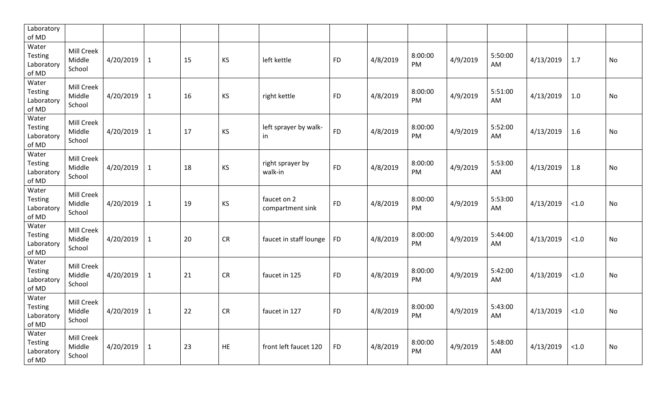| Laboratory<br>of MD                            |                                |           |              |    |           |                                 |           |          |               |          |               |           |       |           |
|------------------------------------------------|--------------------------------|-----------|--------------|----|-----------|---------------------------------|-----------|----------|---------------|----------|---------------|-----------|-------|-----------|
| Water<br>Testing<br>Laboratory<br>of MD        | Mill Creek<br>Middle<br>School | 4/20/2019 | $\mathbf{1}$ | 15 | <b>KS</b> | left kettle                     | <b>FD</b> | 4/8/2019 | 8:00:00<br>PM | 4/9/2019 | 5:50:00<br>AM | 4/13/2019 | 1.7   | <b>No</b> |
| Water<br><b>Testing</b><br>Laboratory<br>of MD | Mill Creek<br>Middle<br>School | 4/20/2019 | $\mathbf{1}$ | 16 | KS        | right kettle                    | <b>FD</b> | 4/8/2019 | 8:00:00<br>PM | 4/9/2019 | 5:51:00<br>AM | 4/13/2019 | 1.0   | No        |
| Water<br><b>Testing</b><br>Laboratory<br>of MD | Mill Creek<br>Middle<br>School | 4/20/2019 | $\mathbf{1}$ | 17 | KS        | left sprayer by walk-<br>in     | <b>FD</b> | 4/8/2019 | 8:00:00<br>PM | 4/9/2019 | 5:52:00<br>AM | 4/13/2019 | 1.6   | No        |
| Water<br><b>Testing</b><br>Laboratory<br>of MD | Mill Creek<br>Middle<br>School | 4/20/2019 | $\mathbf{1}$ | 18 | KS        | right sprayer by<br>walk-in     | <b>FD</b> | 4/8/2019 | 8:00:00<br>PM | 4/9/2019 | 5:53:00<br>AM | 4/13/2019 | 1.8   | No        |
| Water<br><b>Testing</b><br>Laboratory<br>of MD | Mill Creek<br>Middle<br>School | 4/20/2019 | $\mathbf{1}$ | 19 | KS        | faucet on 2<br>compartment sink | <b>FD</b> | 4/8/2019 | 8:00:00<br>PM | 4/9/2019 | 5:53:00<br>AM | 4/13/2019 | < 1.0 | No        |
| Water<br><b>Testing</b><br>Laboratory<br>of MD | Mill Creek<br>Middle<br>School | 4/20/2019 | $\mathbf{1}$ | 20 | CR        | faucet in staff lounge          | <b>FD</b> | 4/8/2019 | 8:00:00<br>PM | 4/9/2019 | 5:44:00<br>AM | 4/13/2019 | < 1.0 | No        |
| Water<br><b>Testing</b><br>Laboratory<br>of MD | Mill Creek<br>Middle<br>School | 4/20/2019 | $\mathbf{1}$ | 21 | <b>CR</b> | faucet in 125                   | <b>FD</b> | 4/8/2019 | 8:00:00<br>PM | 4/9/2019 | 5:42:00<br>AM | 4/13/2019 | < 1.0 | No        |
| Water<br>Testing<br>Laboratory<br>of MD        | Mill Creek<br>Middle<br>School | 4/20/2019 | $\mathbf{1}$ | 22 | <b>CR</b> | faucet in 127                   | <b>FD</b> | 4/8/2019 | 8:00:00<br>PM | 4/9/2019 | 5:43:00<br>AM | 4/13/2019 | < 1.0 | <b>No</b> |
| Water<br>Testing<br>Laboratory<br>of MD        | Mill Creek<br>Middle<br>School | 4/20/2019 | $\mathbf{1}$ | 23 | <b>HE</b> | front left faucet 120           | <b>FD</b> | 4/8/2019 | 8:00:00<br>PM | 4/9/2019 | 5:48:00<br>AM | 4/13/2019 | < 1.0 | <b>No</b> |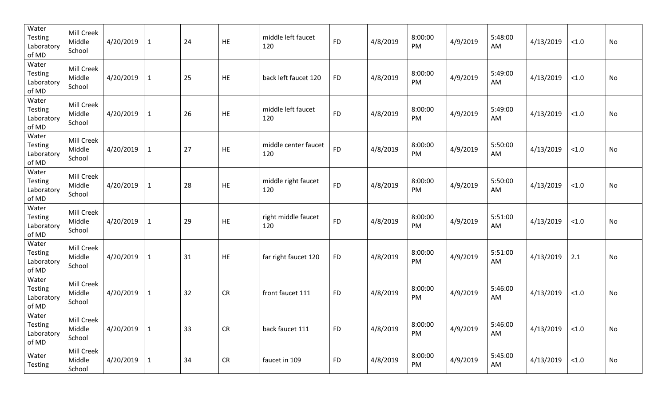| Water<br>Testing<br>Laboratory<br>of MD        | Mill Creek<br>Middle<br>School | 4/20/2019 | $\mathbf{1}$ | 24 | HE         | middle left faucet<br>120   | <b>FD</b> | 4/8/2019 | 8:00:00<br>PM | 4/9/2019 | 5:48:00<br>AM | 4/13/2019 | $<1.0$ | No |
|------------------------------------------------|--------------------------------|-----------|--------------|----|------------|-----------------------------|-----------|----------|---------------|----------|---------------|-----------|--------|----|
| Water<br>Testing<br>Laboratory<br>of MD        | Mill Creek<br>Middle<br>School | 4/20/2019 | $\mathbf{1}$ | 25 | HE         | back left faucet 120        | <b>FD</b> | 4/8/2019 | 8:00:00<br>PM | 4/9/2019 | 5:49:00<br>AM | 4/13/2019 | $<1.0$ | No |
| Water<br>Testing<br>Laboratory<br>of MD        | Mill Creek<br>Middle<br>School | 4/20/2019 | $\mathbf{1}$ | 26 | HE         | middle left faucet<br>120   | <b>FD</b> | 4/8/2019 | 8:00:00<br>PM | 4/9/2019 | 5:49:00<br>AM | 4/13/2019 | $<1.0$ | No |
| Water<br>Testing<br>Laboratory<br>of MD        | Mill Creek<br>Middle<br>School | 4/20/2019 | $\mathbf{1}$ | 27 | HE         | middle center faucet<br>120 | <b>FD</b> | 4/8/2019 | 8:00:00<br>PM | 4/9/2019 | 5:50:00<br>AM | 4/13/2019 | $<1.0$ | No |
| Water<br>Testing<br>Laboratory<br>of MD        | Mill Creek<br>Middle<br>School | 4/20/2019 | $\mathbf{1}$ | 28 | HE         | middle right faucet<br>120  | <b>FD</b> | 4/8/2019 | 8:00:00<br>PM | 4/9/2019 | 5:50:00<br>AM | 4/13/2019 | $<1.0$ | No |
| Water<br>Testing<br>Laboratory<br>of MD        | Mill Creek<br>Middle<br>School | 4/20/2019 | $\mathbf 1$  | 29 | HE         | right middle faucet<br>120  | <b>FD</b> | 4/8/2019 | 8:00:00<br>PM | 4/9/2019 | 5:51:00<br>AM | 4/13/2019 | $<1.0$ | No |
| Water<br>Testing<br>Laboratory<br>of MD        | Mill Creek<br>Middle<br>School | 4/20/2019 | $\mathbf{1}$ | 31 | HE         | far right faucet 120        | <b>FD</b> | 4/8/2019 | 8:00:00<br>PM | 4/9/2019 | 5:51:00<br>AM | 4/13/2019 | 2.1    | No |
| Water<br><b>Testing</b><br>Laboratory<br>of MD | Mill Creek<br>Middle<br>School | 4/20/2019 | $\mathbf 1$  | 32 | CR         | front faucet 111            | <b>FD</b> | 4/8/2019 | 8:00:00<br>PM | 4/9/2019 | 5:46:00<br>AM | 4/13/2019 | $<1.0$ | No |
| Water<br>Testing<br>Laboratory<br>of MD        | Mill Creek<br>Middle<br>School | 4/20/2019 | $\mathbf{1}$ | 33 | ${\sf CR}$ | back faucet 111             | <b>FD</b> | 4/8/2019 | 8:00:00<br>PM | 4/9/2019 | 5:46:00<br>AM | 4/13/2019 | $<1.0$ | No |
| Water<br>Testing                               | Mill Creek<br>Middle<br>School | 4/20/2019 | $\mathbf{1}$ | 34 | ${\sf CR}$ | faucet in 109               | <b>FD</b> | 4/8/2019 | 8:00:00<br>PM | 4/9/2019 | 5:45:00<br>AM | 4/13/2019 | $<1.0$ | No |